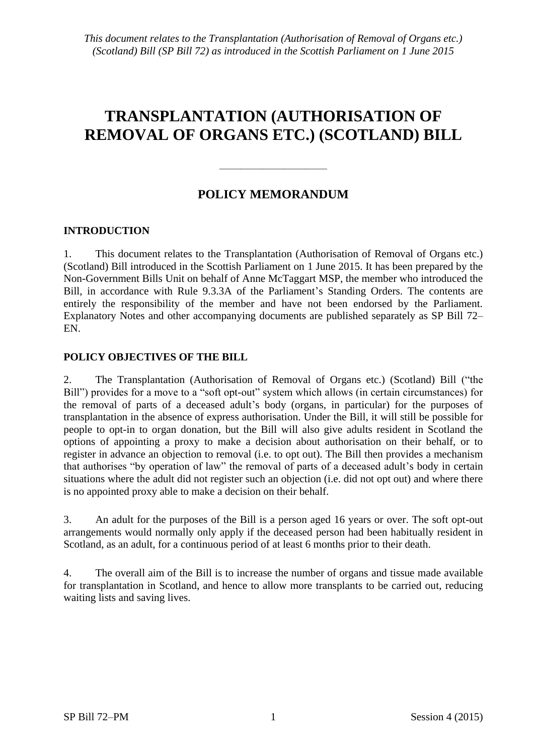# **TRANSPLANTATION (AUTHORISATION OF REMOVAL OF ORGANS ETC.) (SCOTLAND) BILL**

# **POLICY MEMORANDUM**

——————————

## **INTRODUCTION**

1. This document relates to the Transplantation (Authorisation of Removal of Organs etc.) (Scotland) Bill introduced in the Scottish Parliament on 1 June 2015. It has been prepared by the Non-Government Bills Unit on behalf of Anne McTaggart MSP, the member who introduced the Bill, in accordance with Rule 9.3.3A of the Parliament's Standing Orders. The contents are entirely the responsibility of the member and have not been endorsed by the Parliament. Explanatory Notes and other accompanying documents are published separately as SP Bill 72– EN.

## **POLICY OBJECTIVES OF THE BILL**

2. The Transplantation (Authorisation of Removal of Organs etc.) (Scotland) Bill ("the Bill") provides for a move to a "soft opt-out" system which allows (in certain circumstances) for the removal of parts of a deceased adult's body (organs, in particular) for the purposes of transplantation in the absence of express authorisation. Under the Bill, it will still be possible for people to opt-in to organ donation, but the Bill will also give adults resident in Scotland the options of appointing a proxy to make a decision about authorisation on their behalf, or to register in advance an objection to removal (i.e. to opt out). The Bill then provides a mechanism that authorises "by operation of law" the removal of parts of a deceased adult's body in certain situations where the adult did not register such an objection (i.e. did not opt out) and where there is no appointed proxy able to make a decision on their behalf.

3. An adult for the purposes of the Bill is a person aged 16 years or over. The soft opt-out arrangements would normally only apply if the deceased person had been habitually resident in Scotland, as an adult, for a continuous period of at least 6 months prior to their death.

4. The overall aim of the Bill is to increase the number of organs and tissue made available for transplantation in Scotland, and hence to allow more transplants to be carried out, reducing waiting lists and saving lives.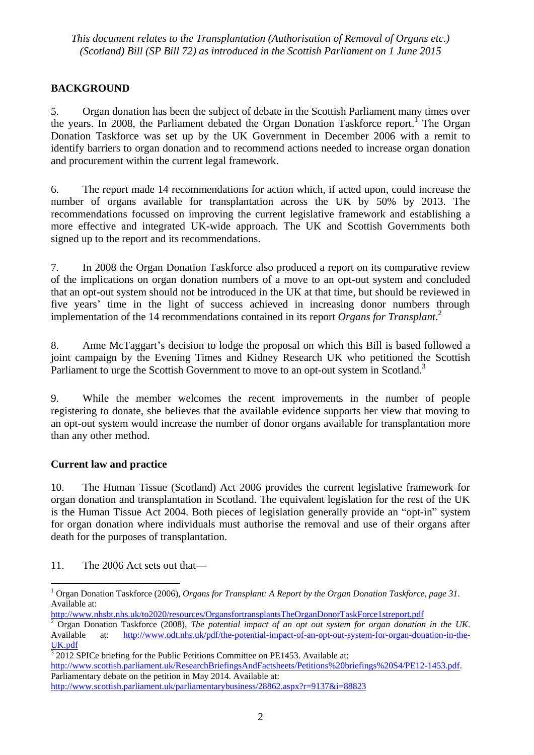# **BACKGROUND**

5. Organ donation has been the subject of debate in the Scottish Parliament many times over the years. In 2008, the Parliament debated the Organ Donation Taskforce report.<sup>1</sup> The Organ Donation Taskforce was set up by the UK Government in December 2006 with a remit to identify barriers to organ donation and to recommend actions needed to increase organ donation and procurement within the current legal framework.

6. The report made 14 recommendations for action which, if acted upon, could increase the number of organs available for transplantation across the UK by 50% by 2013. The recommendations focussed on improving the current legislative framework and establishing a more effective and integrated UK-wide approach. The UK and Scottish Governments both signed up to the report and its recommendations.

7. In 2008 the Organ Donation Taskforce also produced a report on its comparative review of the implications on organ donation numbers of a move to an opt-out system and concluded that an opt-out system should not be introduced in the UK at that time, but should be reviewed in five years' time in the light of success achieved in increasing donor numbers through implementation of the 14 recommendations contained in its report *Organs for Transplant*. 2

8. Anne McTaggart's decision to lodge the proposal on which this Bill is based followed a joint campaign by the Evening Times and Kidney Research UK who petitioned the Scottish Parliament to urge the Scottish Government to move to an opt-out system in Scotland.<sup>3</sup>

9. While the member welcomes the recent improvements in the number of people registering to donate, she believes that the available evidence supports her view that moving to an opt-out system would increase the number of donor organs available for transplantation more than any other method.

## **Current law and practice**

10. The Human Tissue (Scotland) Act 2006 provides the current legislative framework for organ donation and transplantation in Scotland. The equivalent legislation for the rest of the UK is the Human Tissue Act 2004. Both pieces of legislation generally provide an "opt-in" system for organ donation where individuals must authorise the removal and use of their organs after death for the purposes of transplantation.

11. The 2006 Act sets out that—

 $\overline{a}$ <sup>1</sup> Organ Donation Taskforce (2006), *Organs for Transplant: A Report by the Organ Donation Taskforce, page 31*. Available at:

<http://www.nhsbt.nhs.uk/to2020/resources/OrgansfortransplantsTheOrganDonorTaskForce1streport.pdf>

<sup>2</sup> Organ Donation Taskforce (2008), *The potential impact of an opt out system for organ donation in the UK*. Available at: [http://www.odt.nhs.uk/pdf/the-potential-impact-of-an-opt-out-system-for-organ-donation-in-the-](http://www.odt.nhs.uk/pdf/the-potential-impact-of-an-opt-out-system-for-organ-donation-in-the-UK.pdf)[UK.pdf](http://www.odt.nhs.uk/pdf/the-potential-impact-of-an-opt-out-system-for-organ-donation-in-the-UK.pdf)

 $\frac{3}{3}$  2012 SPICe briefing for the Public Petitions Committee on PE1453. Available at: [http://www.scottish.parliament.uk/ResearchBriefingsAndFactsheets/Petitions%20briefings%20S4/PE12-1453.pdf.](http://www.scottish.parliament.uk/ResearchBriefingsAndFactsheets/Petitions%20briefings%20S4/PE12-1453.pdf) Parliamentary debate on the petition in May 2014. Available at: <http://www.scottish.parliament.uk/parliamentarybusiness/28862.aspx?r=9137&i=88823>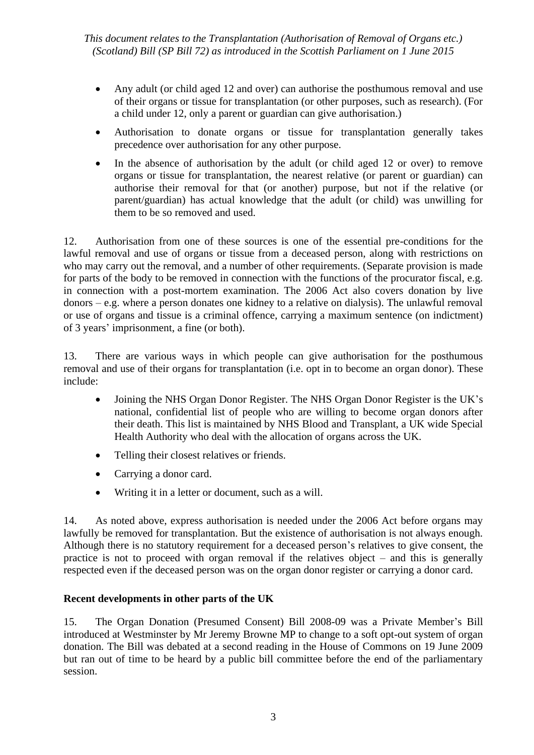- Any adult (or child aged 12 and over) can authorise the posthumous removal and use of their organs or tissue for transplantation (or other purposes, such as research). (For a child under 12, only a parent or guardian can give authorisation.)
- Authorisation to donate organs or tissue for transplantation generally takes precedence over authorisation for any other purpose.
- In the absence of authorisation by the adult (or child aged 12 or over) to remove organs or tissue for transplantation, the nearest relative (or parent or guardian) can authorise their removal for that (or another) purpose, but not if the relative (or parent/guardian) has actual knowledge that the adult (or child) was unwilling for them to be so removed and used.

12. Authorisation from one of these sources is one of the essential pre-conditions for the lawful removal and use of organs or tissue from a deceased person, along with restrictions on who may carry out the removal, and a number of other requirements. (Separate provision is made for parts of the body to be removed in connection with the functions of the procurator fiscal, e.g. in connection with a post-mortem examination. The 2006 Act also covers donation by live donors – e.g. where a person donates one kidney to a relative on dialysis). The unlawful removal or use of organs and tissue is a criminal offence, carrying a maximum sentence (on indictment) of 3 years' imprisonment, a fine (or both).

13. There are various ways in which people can give authorisation for the posthumous removal and use of their organs for transplantation (i.e. opt in to become an organ donor). These include:

- Joining the NHS Organ Donor Register. The NHS Organ Donor Register is the UK's national, confidential list of people who are willing to become organ donors after their death. This list is maintained by NHS Blood and Transplant, a UK wide Special Health Authority who deal with the allocation of organs across the UK.
- Telling their closest relatives or friends.
- Carrying a donor card.
- Writing it in a letter or document, such as a will.

14. As noted above, express authorisation is needed under the 2006 Act before organs may lawfully be removed for transplantation. But the existence of authorisation is not always enough. Although there is no statutory requirement for a deceased person's relatives to give consent, the practice is not to proceed with organ removal if the relatives object – and this is generally respected even if the deceased person was on the organ donor register or carrying a donor card.

## **Recent developments in other parts of the UK**

15. The Organ Donation (Presumed Consent) Bill 2008-09 was a Private Member's Bill introduced at Westminster by Mr Jeremy Browne MP to change to a soft opt-out system of organ donation. The Bill was debated at a second reading in the House of Commons on 19 June 2009 but ran out of time to be heard by a public bill committee before the end of the parliamentary session.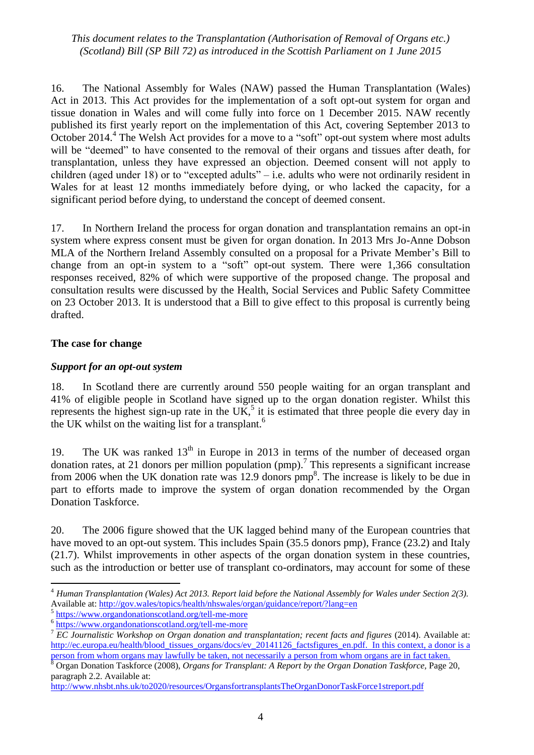16. The National Assembly for Wales (NAW) passed the Human Transplantation (Wales) Act in 2013. This Act provides for the implementation of a soft opt-out system for organ and tissue donation in Wales and will come fully into force on 1 December 2015. NAW recently published its first yearly report on the implementation of this Act, covering September 2013 to October 2014.<sup>4</sup> The Welsh Act provides for a move to a "soft" opt-out system where most adults will be "deemed" to have consented to the removal of their organs and tissues after death, for transplantation, unless they have expressed an objection. Deemed consent will not apply to children (aged under 18) or to "excepted adults" – i.e. adults who were not ordinarily resident in Wales for at least 12 months immediately before dying, or who lacked the capacity, for a significant period before dying, to understand the concept of deemed consent.

17. In Northern Ireland the process for organ donation and transplantation remains an opt-in system where express consent must be given for organ donation. In 2013 Mrs Jo-Anne Dobson MLA of the Northern Ireland Assembly consulted on a proposal for a Private Member's Bill to change from an opt-in system to a "soft" opt-out system. There were  $1,366$  consultation responses received, 82% of which were supportive of the proposed change. The proposal and consultation results were discussed by the Health, Social Services and Public Safety Committee on 23 October 2013. It is understood that a Bill to give effect to this proposal is currently being drafted.

#### **The case for change**

 $\overline{a}$ 

## *Support for an opt-out system*

18. In Scotland there are currently around 550 people waiting for an organ transplant and 41% of eligible people in Scotland have signed up to the organ donation register. Whilst this represents the highest sign-up rate in the  $UK<sup>5</sup>$  it is estimated that three people die every day in the UK whilst on the waiting list for a transplant.<sup>6</sup>

19. The UK was ranked  $13<sup>th</sup>$  in Europe in 2013 in terms of the number of deceased organ donation rates, at 21 donors per million population (pmp).<sup>7</sup> This represents a significant increase from 2006 when the UK donation rate was 12.9 donors  $pmp<sup>8</sup>$ . The increase is likely to be due in part to efforts made to improve the system of organ donation recommended by the Organ Donation Taskforce.

20. The 2006 figure showed that the UK lagged behind many of the European countries that have moved to an opt-out system. This includes Spain (35.5 donors pmp), France (23.2) and Italy (21.7). Whilst improvements in other aspects of the organ donation system in these countries, such as the introduction or better use of transplant co-ordinators, may account for some of these

<sup>4</sup> *Human Transplantation (Wales) Act 2013. Report laid before the National Assembly for Wales under Section 2(3).*  Available at: <http://gov.wales/topics/health/nhswales/organ/guidance/report/?lang=en>

<sup>5</sup> <https://www.organdonationscotland.org/tell-me-more>

<sup>&</sup>lt;sup>6</sup> <https://www.organdonationscotland.org/tell-me-more>

<sup>7</sup> *EC Journalistic Workshop on Organ donation and transplantation; recent facts and figures* (2014). Available at: [http://ec.europa.eu/health/blood\\_tissues\\_organs/docs/ev\\_20141126\\_factsfigures\\_en.pdf.](http://ec.europa.eu/health/blood_tissues_organs/docs/ev_20141126_factsfigures_en.pdf) In this context, a donor is a person from whom organs may lawfully be taken, not necessarily a person from whom organs are in fact taken.

<sup>8</sup> Organ Donation Taskforce (2008), *Organs for Transplant: A Report by the Organ Donation Taskforce,* Page 20, paragraph 2.2. Available at:

<http://www.nhsbt.nhs.uk/to2020/resources/OrgansfortransplantsTheOrganDonorTaskForce1streport.pdf>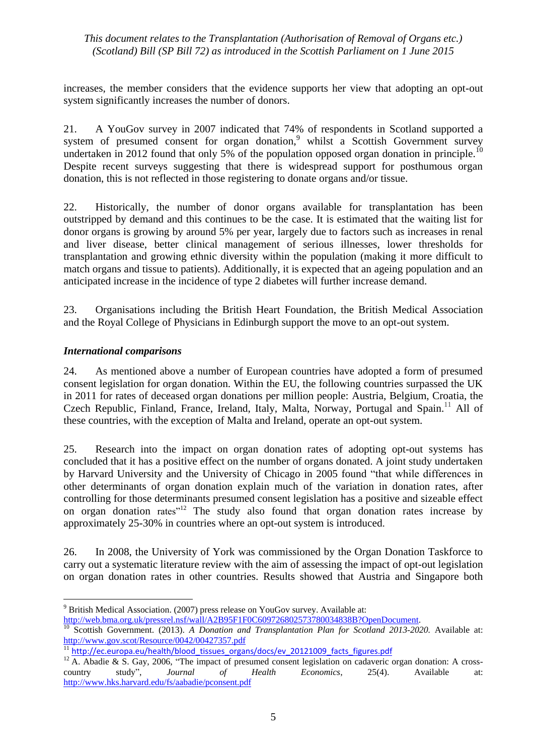increases, the member considers that the evidence supports her view that adopting an opt-out system significantly increases the number of donors.

21. A YouGov survey in 2007 indicated that 74% of respondents in Scotland supported a system of presumed consent for organ donation,<sup>9</sup> whilst a Scottish Government survey undertaken in 2012 found that only 5% of the population opposed organ donation in principle.<sup>10</sup> Despite recent surveys suggesting that there is widespread support for posthumous organ donation, this is not reflected in those registering to donate organs and/or tissue.

22. Historically, the number of donor organs available for transplantation has been outstripped by demand and this continues to be the case. It is estimated that the waiting list for donor organs is growing by around 5% per year, largely due to factors such as increases in renal and liver disease, better clinical management of serious illnesses, lower thresholds for transplantation and growing ethnic diversity within the population (making it more difficult to match organs and tissue to patients). Additionally, it is expected that an ageing population and an anticipated increase in the incidence of type 2 diabetes will further increase demand.

23. Organisations including the British Heart Foundation, the British Medical Association and the Royal College of Physicians in Edinburgh support the move to an opt-out system.

## *International comparisons*

24. As mentioned above a number of European countries have adopted a form of presumed consent legislation for organ donation. Within the EU, the following countries surpassed the UK in 2011 for rates of deceased organ donations per million people: Austria, Belgium, Croatia, the Czech Republic, Finland, France, Ireland, Italy, Malta, Norway, Portugal and Spain.<sup>11</sup> All of these countries, with the exception of Malta and Ireland, operate an opt-out system.

25. Research into the impact on organ donation rates of adopting opt-out systems has concluded that it has a positive effect on the number of organs donated. A joint study undertaken by Harvard University and the University of Chicago in 2005 found "that while differences in other determinants of organ donation explain much of the variation in donation rates, after controlling for those determinants presumed consent legislation has a positive and sizeable effect on organ donation rates"<sup>12</sup> The study also found that organ donation rates increase by approximately 25-30% in countries where an opt-out system is introduced.

26. In 2008, the University of York was commissioned by the Organ Donation Taskforce to carry out a systematic literature review with the aim of assessing the impact of opt-out legislation on organ donation rates in other countries. Results showed that Austria and Singapore both

<sup>1</sup> <sup>9</sup> British Medical Association. (2007) press release on YouGov survey. Available at:

[http://web.bma.org.uk/pressrel.nsf/wall/A2B95F1F0C609726802573780034838B?OpenDocument.](http://web.bma.org.uk/pressrel.nsf/wall/A2B95F1F0C609726802573780034838B?OpenDocument)

<sup>10</sup> Scottish Government. (2013). *A Donation and Transplantation Plan for Scotland 2013-2020.* Available at: http://www.gov.scot/Resource/0042/00427357.pdf

<sup>&</sup>lt;sup>11</sup> [http://ec.europa.eu/health/blood\\_tissues\\_organs/docs/ev\\_20121009\\_facts\\_figures.pdf](http://ec.europa.eu/health/blood_tissues_organs/docs/ev_20121009_facts_figures.pdf)

 $12$  A. Abadie & S. Gay, 2006, "The impact of presumed consent legislation on cadaveric organ donation: A crosscountry study", *Journal of Health Economics*, 25(4). Available at: <http://www.hks.harvard.edu/fs/aabadie/pconsent.pdf>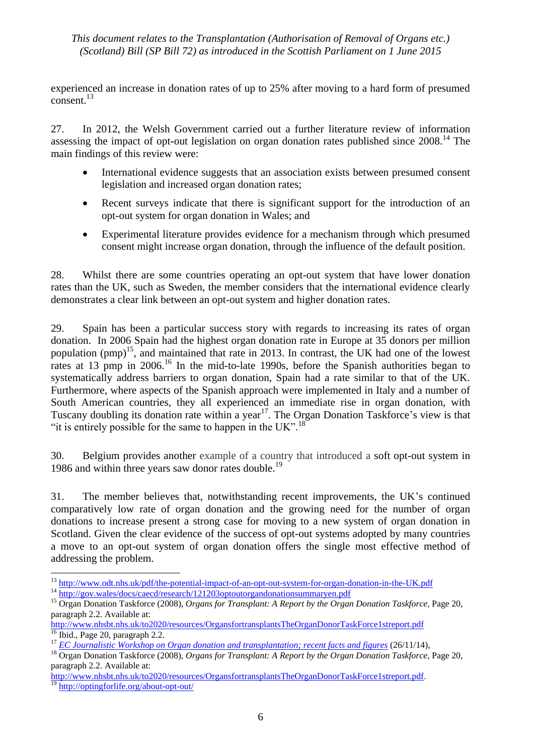experienced an increase in donation rates of up to 25% after moving to a hard form of presumed consent.<sup>13</sup>

27. In 2012, the Welsh Government carried out a further literature review of information assessing the impact of opt-out legislation on organ donation rates published since 2008.<sup>14</sup> The main findings of this review were:

- International evidence suggests that an association exists between presumed consent legislation and increased organ donation rates;
- Recent surveys indicate that there is significant support for the introduction of an opt-out system for organ donation in Wales; and
- Experimental literature provides evidence for a mechanism through which presumed consent might increase organ donation, through the influence of the default position.

28. Whilst there are some countries operating an opt-out system that have lower donation rates than the UK, such as Sweden, the member considers that the international evidence clearly demonstrates a clear link between an opt-out system and higher donation rates.

29. Spain has been a particular success story with regards to increasing its rates of organ donation. In 2006 Spain had the highest organ donation rate in Europe at 35 donors per million population  $(pmp)^{15}$ , and maintained that rate in 2013. In contrast, the UK had one of the lowest rates at 13 pmp in 2006.<sup>16</sup> In the mid-to-late 1990s, before the Spanish authorities began to systematically address barriers to organ donation, Spain had a rate similar to that of the UK. Furthermore, where aspects of the Spanish approach were implemented in Italy and a number of South American countries, they all experienced an immediate rise in organ donation, with Tuscany doubling its donation rate within a year<sup>17</sup>. The Organ Donation Taskforce's view is that "it is entirely possible for the same to happen in the UK".<sup>18</sup>

30. Belgium provides another example of a country that introduced a soft opt-out system in 1986 and within three years saw donor rates double.<sup>19</sup>

31. The member believes that, notwithstanding recent improvements, the UK's continued comparatively low rate of organ donation and the growing need for the number of organ donations to increase present a strong case for moving to a new system of organ donation in Scotland. Given the clear evidence of the success of opt-out systems adopted by many countries a move to an opt-out system of organ donation offers the single most effective method of addressing the problem.

 $\overline{a}$ <sup>13</sup> <http://www.odt.nhs.uk/pdf/the-potential-impact-of-an-opt-out-system-for-organ-donation-in-the-UK.pdf> <sup>14</sup> <http://gov.wales/docs/caecd/research/121203optoutorgandonationsummaryen.pdf>

<sup>15</sup> Organ Donation Taskforce (2008), *Organs for Transplant: A Report by the Organ Donation Taskforce,* Page 20, paragraph 2.2. Available at:

<http://www.nhsbt.nhs.uk/to2020/resources/OrgansfortransplantsTheOrganDonorTaskForce1streport.pdf>  $\frac{16}{16}$  Ibid., Page 20, paragraph 2.2.

<sup>17</sup> *[EC Journalistic Workshop on Organ donation and transplantation; recent facts and figures](http://ec.europa.eu/health/blood_tissues_organs/docs/ev_20141126_factsfigures_en.pdf)* (26/11/14),

<sup>18</sup> Organ Donation Taskforce (2008), *Organs for Transplant: A Report by the Organ Donation Taskforce,* Page 20, paragraph 2.2. Available at:

[http://www.nhsbt.nhs.uk/to2020/resources/OrgansfortransplantsTheOrganDonorTaskForce1streport.pdf.](http://www.nhsbt.nhs.uk/to2020/resources/OrgansfortransplantsTheOrganDonorTaskForce1streport.pdf) <sup>19</sup> <http://optingforlife.org/about-opt-out/>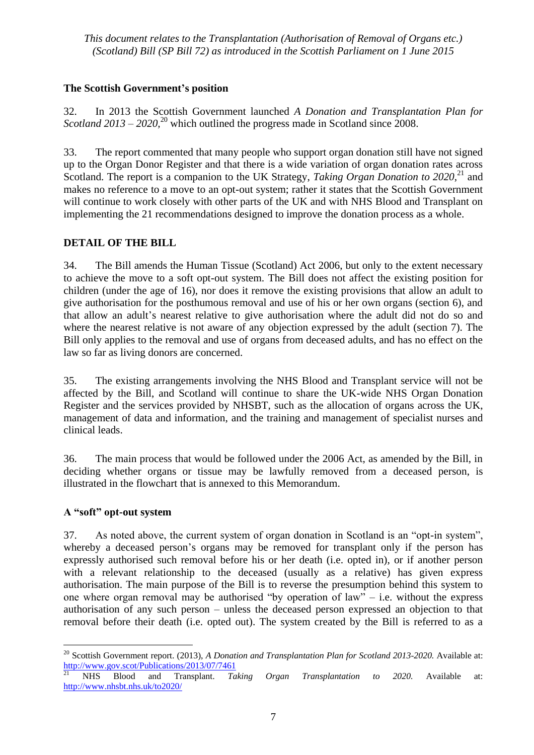## **The Scottish Government's position**

32. In 2013 the Scottish Government launched *A Donation and Transplantation Plan for Scotland 2013* – 2020,<sup>20</sup> which outlined the progress made in Scotland since 2008.

33. The report commented that many people who support organ donation still have not signed up to the Organ Donor Register and that there is a wide variation of organ donation rates across Scotland. The report is a companion to the UK Strategy, *Taking Organ Donation to 2020*<sup>21</sup>, and makes no reference to a move to an opt-out system; rather it states that the Scottish Government will continue to work closely with other parts of the UK and with NHS Blood and Transplant on implementing the 21 recommendations designed to improve the donation process as a whole.

## **DETAIL OF THE BILL**

34. The Bill amends the Human Tissue (Scotland) Act 2006, but only to the extent necessary to achieve the move to a soft opt-out system. The Bill does not affect the existing position for children (under the age of 16), nor does it remove the existing provisions that allow an adult to give authorisation for the posthumous removal and use of his or her own organs (section 6), and that allow an adult's nearest relative to give authorisation where the adult did not do so and where the nearest relative is not aware of any objection expressed by the adult (section 7). The Bill only applies to the removal and use of organs from deceased adults, and has no effect on the law so far as living donors are concerned.

35. The existing arrangements involving the NHS Blood and Transplant service will not be affected by the Bill, and Scotland will continue to share the UK-wide NHS Organ Donation Register and the services provided by NHSBT, such as the allocation of organs across the UK, management of data and information, and the training and management of specialist nurses and clinical leads.

36. The main process that would be followed under the 2006 Act, as amended by the Bill, in deciding whether organs or tissue may be lawfully removed from a deceased person, is illustrated in the flowchart that is annexed to this Memorandum.

## **A "soft" opt-out system**

37. As noted above, the current system of organ donation in Scotland is an "opt-in system". whereby a deceased person's organs may be removed for transplant only if the person has expressly authorised such removal before his or her death (i.e. opted in), or if another person with a relevant relationship to the deceased (usually as a relative) has given express authorisation. The main purpose of the Bill is to reverse the presumption behind this system to one where organ removal may be authorised "by operation of law" – i.e. without the express authorisation of any such person – unless the deceased person expressed an objection to that removal before their death (i.e. opted out). The system created by the Bill is referred to as a

<sup>&</sup>lt;u>.</u> <sup>20</sup> Scottish Government report. (2013), *A Donation and Transplantation Plan for Scotland 2013-2020.* Available at: <http://www.gov.scot/Publications/2013/07/7461>

<sup>21</sup> NHS Blood and Transplant. *Taking Organ Transplantation to 2020.* Available at: <http://www.nhsbt.nhs.uk/to2020/>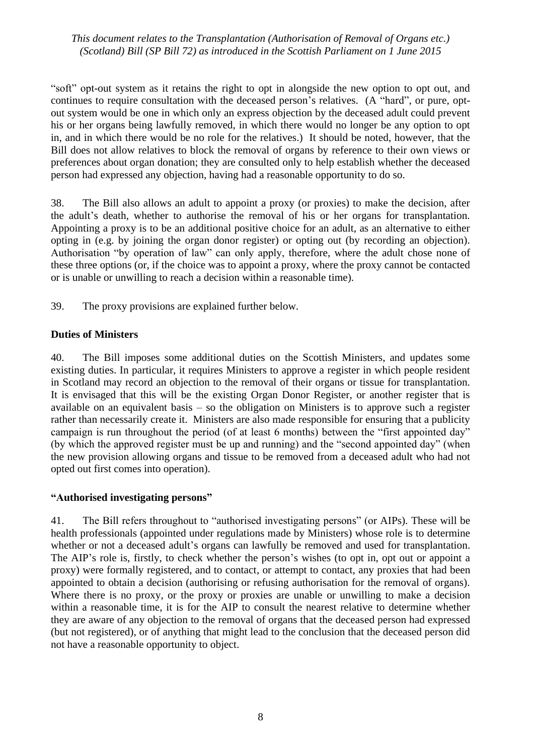―soft‖ opt-out system as it retains the right to opt in alongside the new option to opt out, and continues to require consultation with the deceased person's relatives. (A "hard", or pure, optout system would be one in which only an express objection by the deceased adult could prevent his or her organs being lawfully removed, in which there would no longer be any option to opt in, and in which there would be no role for the relatives.) It should be noted, however, that the Bill does not allow relatives to block the removal of organs by reference to their own views or preferences about organ donation; they are consulted only to help establish whether the deceased person had expressed any objection, having had a reasonable opportunity to do so.

38. The Bill also allows an adult to appoint a proxy (or proxies) to make the decision, after the adult's death, whether to authorise the removal of his or her organs for transplantation. Appointing a proxy is to be an additional positive choice for an adult, as an alternative to either opting in (e.g. by joining the organ donor register) or opting out (by recording an objection). Authorisation "by operation of law" can only apply, therefore, where the adult chose none of these three options (or, if the choice was to appoint a proxy, where the proxy cannot be contacted or is unable or unwilling to reach a decision within a reasonable time).

39. The proxy provisions are explained further below.

#### **Duties of Ministers**

40. The Bill imposes some additional duties on the Scottish Ministers, and updates some existing duties. In particular, it requires Ministers to approve a register in which people resident in Scotland may record an objection to the removal of their organs or tissue for transplantation. It is envisaged that this will be the existing Organ Donor Register, or another register that is available on an equivalent basis – so the obligation on Ministers is to approve such a register rather than necessarily create it. Ministers are also made responsible for ensuring that a publicity campaign is run throughout the period (of at least 6 months) between the "first appointed day" (by which the approved register must be up and running) and the "second appointed day" (when the new provision allowing organs and tissue to be removed from a deceased adult who had not opted out first comes into operation).

#### **"Authorised investigating persons"**

41. The Bill refers throughout to "authorised investigating persons" (or AIPs). These will be health professionals (appointed under regulations made by Ministers) whose role is to determine whether or not a deceased adult's organs can lawfully be removed and used for transplantation. The AIP's role is, firstly, to check whether the person's wishes (to opt in, opt out or appoint a proxy) were formally registered, and to contact, or attempt to contact, any proxies that had been appointed to obtain a decision (authorising or refusing authorisation for the removal of organs). Where there is no proxy, or the proxy or proxies are unable or unwilling to make a decision within a reasonable time, it is for the AIP to consult the nearest relative to determine whether they are aware of any objection to the removal of organs that the deceased person had expressed (but not registered), or of anything that might lead to the conclusion that the deceased person did not have a reasonable opportunity to object.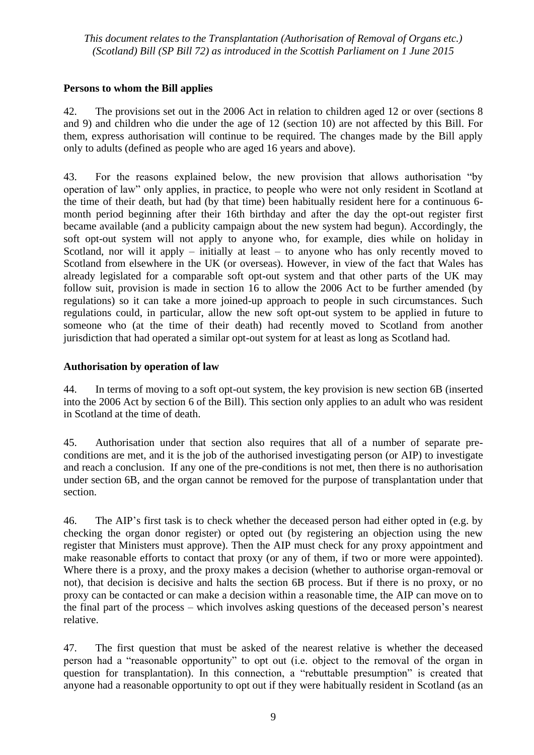## **Persons to whom the Bill applies**

42. The provisions set out in the 2006 Act in relation to children aged 12 or over (sections 8 and 9) and children who die under the age of 12 (section 10) are not affected by this Bill. For them, express authorisation will continue to be required. The changes made by the Bill apply only to adults (defined as people who are aged 16 years and above).

43. For the reasons explained below, the new provision that allows authorisation "by operation of law" only applies, in practice, to people who were not only resident in Scotland at the time of their death, but had (by that time) been habitually resident here for a continuous 6 month period beginning after their 16th birthday and after the day the opt-out register first became available (and a publicity campaign about the new system had begun). Accordingly, the soft opt-out system will not apply to anyone who, for example, dies while on holiday in Scotland, nor will it apply – initially at least – to anyone who has only recently moved to Scotland from elsewhere in the UK (or overseas). However, in view of the fact that Wales has already legislated for a comparable soft opt-out system and that other parts of the UK may follow suit, provision is made in section 16 to allow the 2006 Act to be further amended (by regulations) so it can take a more joined-up approach to people in such circumstances. Such regulations could, in particular, allow the new soft opt-out system to be applied in future to someone who (at the time of their death) had recently moved to Scotland from another jurisdiction that had operated a similar opt-out system for at least as long as Scotland had.

## **Authorisation by operation of law**

44. In terms of moving to a soft opt-out system, the key provision is new section 6B (inserted into the 2006 Act by section 6 of the Bill). This section only applies to an adult who was resident in Scotland at the time of death.

45. Authorisation under that section also requires that all of a number of separate preconditions are met, and it is the job of the authorised investigating person (or AIP) to investigate and reach a conclusion. If any one of the pre-conditions is not met, then there is no authorisation under section 6B, and the organ cannot be removed for the purpose of transplantation under that section.

46. The AIP's first task is to check whether the deceased person had either opted in (e.g. by checking the organ donor register) or opted out (by registering an objection using the new register that Ministers must approve). Then the AIP must check for any proxy appointment and make reasonable efforts to contact that proxy (or any of them, if two or more were appointed). Where there is a proxy, and the proxy makes a decision (whether to authorise organ-removal or not), that decision is decisive and halts the section 6B process. But if there is no proxy, or no proxy can be contacted or can make a decision within a reasonable time, the AIP can move on to the final part of the process – which involves asking questions of the deceased person's nearest relative.

47. The first question that must be asked of the nearest relative is whether the deceased person had a "reasonable opportunity" to opt out (i.e. object to the removal of the organ in question for transplantation). In this connection, a "rebuttable presumption" is created that anyone had a reasonable opportunity to opt out if they were habitually resident in Scotland (as an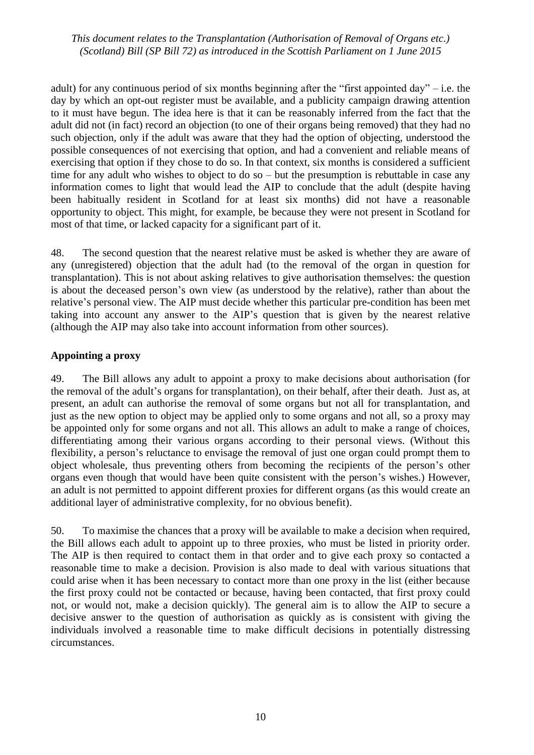adult) for any continuous period of six months beginning after the "first appointed day" – i.e. the day by which an opt-out register must be available, and a publicity campaign drawing attention to it must have begun. The idea here is that it can be reasonably inferred from the fact that the adult did not (in fact) record an objection (to one of their organs being removed) that they had no such objection, only if the adult was aware that they had the option of objecting, understood the possible consequences of not exercising that option, and had a convenient and reliable means of exercising that option if they chose to do so. In that context, six months is considered a sufficient time for any adult who wishes to object to do so – but the presumption is rebuttable in case any information comes to light that would lead the AIP to conclude that the adult (despite having been habitually resident in Scotland for at least six months) did not have a reasonable opportunity to object. This might, for example, be because they were not present in Scotland for most of that time, or lacked capacity for a significant part of it.

48. The second question that the nearest relative must be asked is whether they are aware of any (unregistered) objection that the adult had (to the removal of the organ in question for transplantation). This is not about asking relatives to give authorisation themselves: the question is about the deceased person's own view (as understood by the relative), rather than about the relative's personal view. The AIP must decide whether this particular pre-condition has been met taking into account any answer to the AIP's question that is given by the nearest relative (although the AIP may also take into account information from other sources).

#### **Appointing a proxy**

49. The Bill allows any adult to appoint a proxy to make decisions about authorisation (for the removal of the adult's organs for transplantation), on their behalf, after their death. Just as, at present, an adult can authorise the removal of some organs but not all for transplantation, and just as the new option to object may be applied only to some organs and not all, so a proxy may be appointed only for some organs and not all. This allows an adult to make a range of choices, differentiating among their various organs according to their personal views. (Without this flexibility, a person's reluctance to envisage the removal of just one organ could prompt them to object wholesale, thus preventing others from becoming the recipients of the person's other organs even though that would have been quite consistent with the person's wishes.) However, an adult is not permitted to appoint different proxies for different organs (as this would create an additional layer of administrative complexity, for no obvious benefit).

50. To maximise the chances that a proxy will be available to make a decision when required, the Bill allows each adult to appoint up to three proxies, who must be listed in priority order. The AIP is then required to contact them in that order and to give each proxy so contacted a reasonable time to make a decision. Provision is also made to deal with various situations that could arise when it has been necessary to contact more than one proxy in the list (either because the first proxy could not be contacted or because, having been contacted, that first proxy could not, or would not, make a decision quickly). The general aim is to allow the AIP to secure a decisive answer to the question of authorisation as quickly as is consistent with giving the individuals involved a reasonable time to make difficult decisions in potentially distressing circumstances.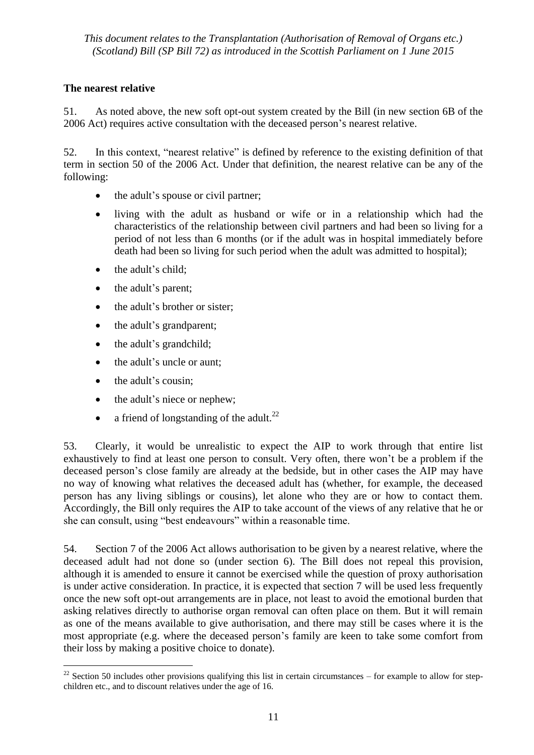## **The nearest relative**

51. As noted above, the new soft opt-out system created by the Bill (in new section 6B of the 2006 Act) requires active consultation with the deceased person's nearest relative.

52. In this context, "nearest relative" is defined by reference to the existing definition of that term in section 50 of the 2006 Act. Under that definition, the nearest relative can be any of the following:

- the adult's spouse or civil partner;
- living with the adult as husband or wife or in a relationship which had the characteristics of the relationship between civil partners and had been so living for a period of not less than 6 months (or if the adult was in hospital immediately before death had been so living for such period when the adult was admitted to hospital);
- $\bullet$  the adult's child:
- the adult's parent;
- the adult's brother or sister:
- the adult's grandparent;
- the adult's grandchild;
- the adult's uncle or aunt;
- the adult's cousin;
- the adult's niece or nephew:
- a friend of longstanding of the adult.<sup>22</sup>

53. Clearly, it would be unrealistic to expect the AIP to work through that entire list exhaustively to find at least one person to consult. Very often, there won't be a problem if the deceased person's close family are already at the bedside, but in other cases the AIP may have no way of knowing what relatives the deceased adult has (whether, for example, the deceased person has any living siblings or cousins), let alone who they are or how to contact them. Accordingly, the Bill only requires the AIP to take account of the views of any relative that he or she can consult, using "best endeavours" within a reasonable time.

54. Section 7 of the 2006 Act allows authorisation to be given by a nearest relative, where the deceased adult had not done so (under section 6). The Bill does not repeal this provision, although it is amended to ensure it cannot be exercised while the question of proxy authorisation is under active consideration. In practice, it is expected that section 7 will be used less frequently once the new soft opt-out arrangements are in place, not least to avoid the emotional burden that asking relatives directly to authorise organ removal can often place on them. But it will remain as one of the means available to give authorisation, and there may still be cases where it is the most appropriate (e.g. where the deceased person's family are keen to take some comfort from their loss by making a positive choice to donate).

<sup>1</sup>  $^{22}$  Section 50 includes other provisions qualifying this list in certain circumstances – for example to allow for stepchildren etc., and to discount relatives under the age of 16.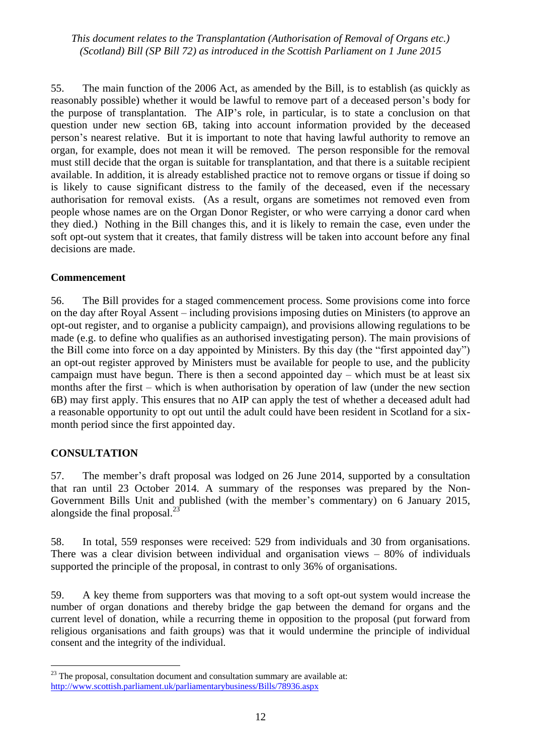55. The main function of the 2006 Act, as amended by the Bill, is to establish (as quickly as reasonably possible) whether it would be lawful to remove part of a deceased person's body for the purpose of transplantation. The AIP's role, in particular, is to state a conclusion on that question under new section 6B, taking into account information provided by the deceased person's nearest relative. But it is important to note that having lawful authority to remove an organ, for example, does not mean it will be removed. The person responsible for the removal must still decide that the organ is suitable for transplantation, and that there is a suitable recipient available. In addition, it is already established practice not to remove organs or tissue if doing so is likely to cause significant distress to the family of the deceased, even if the necessary authorisation for removal exists. (As a result, organs are sometimes not removed even from people whose names are on the Organ Donor Register, or who were carrying a donor card when they died.) Nothing in the Bill changes this, and it is likely to remain the case, even under the soft opt-out system that it creates, that family distress will be taken into account before any final decisions are made.

#### **Commencement**

56. The Bill provides for a staged commencement process. Some provisions come into force on the day after Royal Assent – including provisions imposing duties on Ministers (to approve an opt-out register, and to organise a publicity campaign), and provisions allowing regulations to be made (e.g. to define who qualifies as an authorised investigating person). The main provisions of the Bill come into force on a day appointed by Ministers. By this day (the "first appointed day") an opt-out register approved by Ministers must be available for people to use, and the publicity campaign must have begun. There is then a second appointed day – which must be at least six months after the first – which is when authorisation by operation of law (under the new section 6B) may first apply. This ensures that no AIP can apply the test of whether a deceased adult had a reasonable opportunity to opt out until the adult could have been resident in Scotland for a sixmonth period since the first appointed day.

#### **CONSULTATION**

 $\overline{a}$ 

57. The member's draft proposal was lodged on 26 June 2014, supported by a consultation that ran until 23 October 2014. A summary of the responses was prepared by the Non-Government Bills Unit and published (with the member's commentary) on 6 January 2015, alongside the final proposal. $<sup>2</sup>$ </sup>

58. In total, 559 responses were received: 529 from individuals and 30 from organisations. There was a clear division between individual and organisation views – 80% of individuals supported the principle of the proposal, in contrast to only 36% of organisations.

59. A key theme from supporters was that moving to a soft opt-out system would increase the number of organ donations and thereby bridge the gap between the demand for organs and the current level of donation, while a recurring theme in opposition to the proposal (put forward from religious organisations and faith groups) was that it would undermine the principle of individual consent and the integrity of the individual.

 $23$  The proposal, consultation document and consultation summary are available at: <http://www.scottish.parliament.uk/parliamentarybusiness/Bills/78936.aspx>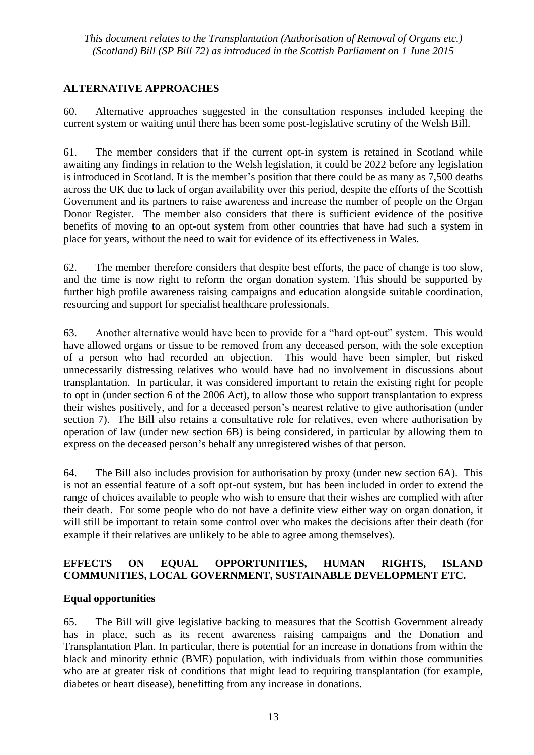## **ALTERNATIVE APPROACHES**

60. Alternative approaches suggested in the consultation responses included keeping the current system or waiting until there has been some post-legislative scrutiny of the Welsh Bill.

61. The member considers that if the current opt-in system is retained in Scotland while awaiting any findings in relation to the Welsh legislation, it could be 2022 before any legislation is introduced in Scotland. It is the member's position that there could be as many as 7,500 deaths across the UK due to lack of organ availability over this period, despite the efforts of the Scottish Government and its partners to raise awareness and increase the number of people on the Organ Donor Register. The member also considers that there is sufficient evidence of the positive benefits of moving to an opt-out system from other countries that have had such a system in place for years, without the need to wait for evidence of its effectiveness in Wales.

62. The member therefore considers that despite best efforts, the pace of change is too slow, and the time is now right to reform the organ donation system. This should be supported by further high profile awareness raising campaigns and education alongside suitable coordination, resourcing and support for specialist healthcare professionals.

63. Another alternative would have been to provide for a "hard opt-out" system. This would have allowed organs or tissue to be removed from any deceased person, with the sole exception of a person who had recorded an objection. This would have been simpler, but risked unnecessarily distressing relatives who would have had no involvement in discussions about transplantation. In particular, it was considered important to retain the existing right for people to opt in (under section 6 of the 2006 Act), to allow those who support transplantation to express their wishes positively, and for a deceased person's nearest relative to give authorisation (under section 7). The Bill also retains a consultative role for relatives, even where authorisation by operation of law (under new section 6B) is being considered, in particular by allowing them to express on the deceased person's behalf any unregistered wishes of that person.

64. The Bill also includes provision for authorisation by proxy (under new section 6A). This is not an essential feature of a soft opt-out system, but has been included in order to extend the range of choices available to people who wish to ensure that their wishes are complied with after their death. For some people who do not have a definite view either way on organ donation, it will still be important to retain some control over who makes the decisions after their death (for example if their relatives are unlikely to be able to agree among themselves).

## **EFFECTS ON EQUAL OPPORTUNITIES, HUMAN RIGHTS, ISLAND COMMUNITIES, LOCAL GOVERNMENT, SUSTAINABLE DEVELOPMENT ETC.**

## **Equal opportunities**

65. The Bill will give legislative backing to measures that the Scottish Government already has in place, such as its recent awareness raising campaigns and the Donation and Transplantation Plan. In particular, there is potential for an increase in donations from within the black and minority ethnic (BME) population, with individuals from within those communities who are at greater risk of conditions that might lead to requiring transplantation (for example, diabetes or heart disease), benefitting from any increase in donations.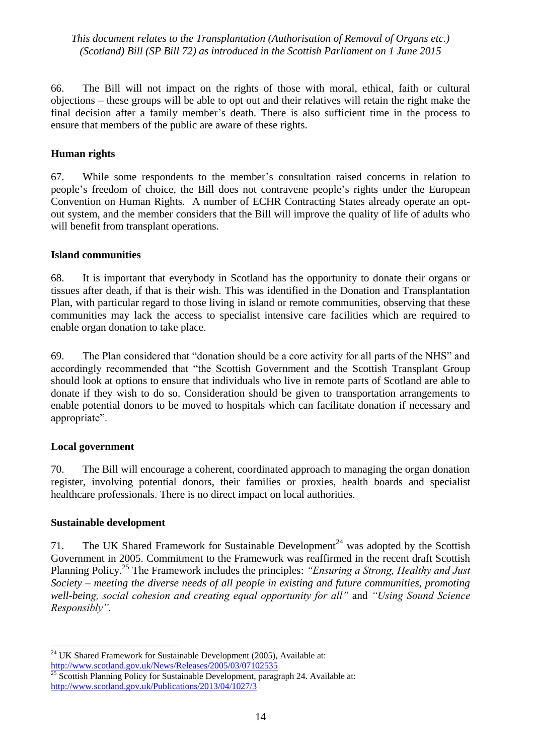66. The Bill will not impact on the rights of those with moral, ethical, faith or cultural objections – these groups will be able to opt out and their relatives will retain the right make the final decision after a family member's death. There is also sufficient time in the process to ensure that members of the public are aware of these rights.

## **Human rights**

67. While some respondents to the member's consultation raised concerns in relation to people's freedom of choice, the Bill does not contravene people's rights under the European Convention on Human Rights. A number of ECHR Contracting States already operate an optout system, and the member considers that the Bill will improve the quality of life of adults who will benefit from transplant operations.

#### **Island communities**

68. It is important that everybody in Scotland has the opportunity to donate their organs or tissues after death, if that is their wish. This was identified in the Donation and Transplantation Plan, with particular regard to those living in island or remote communities, observing that these communities may lack the access to specialist intensive care facilities which are required to enable organ donation to take place.

69. The Plan considered that "donation should be a core activity for all parts of the NHS" and accordingly recommended that "the Scottish Government and the Scottish Transplant Group should look at options to ensure that individuals who live in remote parts of Scotland are able to donate if they wish to do so. Consideration should be given to transportation arrangements to enable potential donors to be moved to hospitals which can facilitate donation if necessary and appropriate".

## **Local government**

70. The Bill will encourage a coherent, coordinated approach to managing the organ donation register, involving potential donors, their families or proxies, health boards and specialist healthcare professionals. There is no direct impact on local authorities.

#### **Sustainable development**

71. The UK Shared Framework for Sustainable Development<sup>24</sup> was adopted by the Scottish Government in 2005. Commitment to the Framework was reaffirmed in the recent draft Scottish Planning Policy.<sup>25</sup> The Framework includes the principles: *"Ensuring a Strong, Healthy and Just Society – meeting the diverse needs of all people in existing and future communities, promoting well-being, social cohesion and creating equal opportunity for all"* and *"Using Sound Science Responsibly".*

 $\overline{a}$  $24$  UK Shared Framework for Sustainable Development (2005), Available at: <http://www.scotland.gov.uk/News/Releases/2005/03/07102535>

Scottish Planning Policy for Sustainable Development, paragraph 24. Available at: <http://www.scotland.gov.uk/Publications/2013/04/1027/3>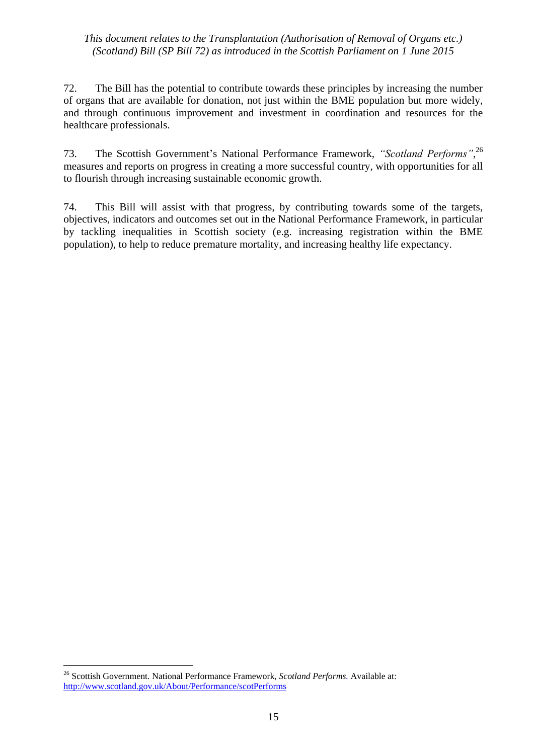72. The Bill has the potential to contribute towards these principles by increasing the number of organs that are available for donation, not just within the BME population but more widely, and through continuous improvement and investment in coordination and resources for the healthcare professionals.

73. The Scottish Government's National Performance Framework, *"Scotland Performs"*, 26 measures and reports on progress in creating a more successful country, with opportunities for all to flourish through increasing sustainable economic growth.

74. This Bill will assist with that progress, by contributing towards some of the targets, objectives, indicators and outcomes set out in the National Performance Framework, in particular by tackling inequalities in Scottish society (e.g. increasing registration within the BME population), to help to reduce premature mortality, and increasing healthy life expectancy.

1

<sup>26</sup> Scottish Government. National Performance Framework, *Scotland Performs.* Available at: <http://www.scotland.gov.uk/About/Performance/scotPerforms>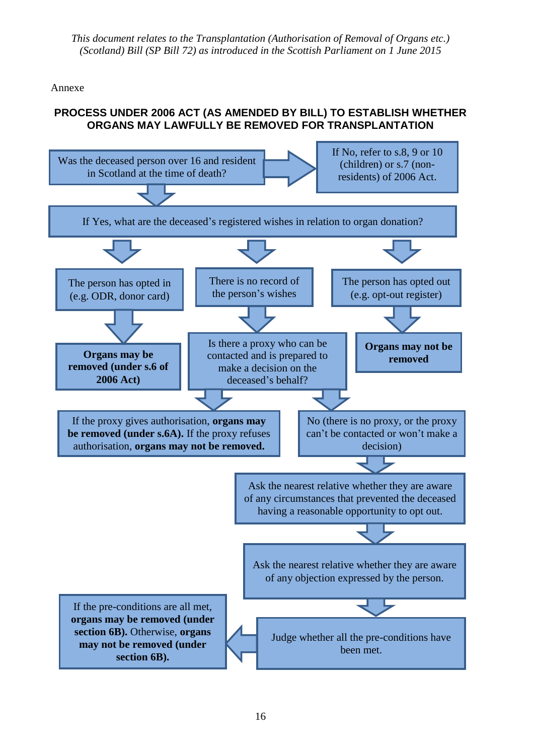Annexe

## **PROCESS UNDER 2006 ACT (AS AMENDED BY BILL) TO ESTABLISH WHETHER ORGANS MAY LAWFULLY BE REMOVED FOR TRANSPLANTATION**